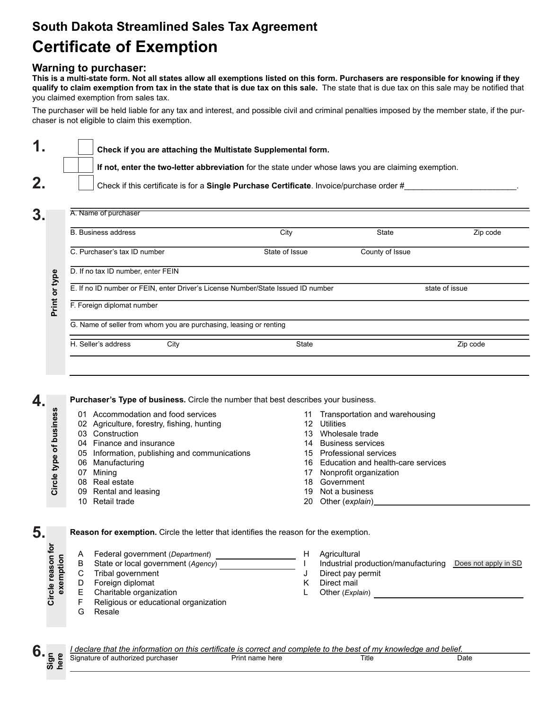# **South Dakota Streamlined Sales Tax Agreement Certificate of Exemption**

## **Warning to purchaser:**

**This is a multi-state form. Not all states allow all exemptions listed on this form. Purchasers are responsible for knowing if they qualify to claim exemption from tax in the state that is due tax on this sale.** The state that is due tax on this sale may be notified that you claimed exemption from sales tax.

The purchaser will be held liable for any tax and interest, and possible civil and criminal penalties imposed by the member state, if the purchaser is not eligible to claim this exemption.

| 1 <sub>1</sub> | $\vert \hspace{6pt} \vert$ Check if you are attaching the Multistate Supplemental form.              |
|----------------|------------------------------------------------------------------------------------------------------|
|                | If not, enter the two-letter abbreviation for the state under whose laws you are claiming exemption. |
| 2.             | Check if this certificate is for a Single Purchase Certificate. Invoice/purchase order #             |

**3.**

**4.**

**5.**

| <b>B. Business address</b>                                                       | City           | <b>State</b>    | Zip code       |  |  |
|----------------------------------------------------------------------------------|----------------|-----------------|----------------|--|--|
| C. Purchaser's tax ID number                                                     | State of Issue | County of Issue |                |  |  |
| D. If no tax ID number, enter FEIN                                               |                |                 |                |  |  |
| E. If no ID number or FEIN, enter Driver's License Number/State Issued ID number |                |                 | state of issue |  |  |
| F. Foreign diplomat number                                                       |                |                 |                |  |  |
| G. Name of seller from whom you are purchasing, leasing or renting               |                |                 |                |  |  |
|                                                                                  |                |                 |                |  |  |

**Purchaser's Type of business.** Circle the number that best describes your business.

Circle type of business **Circle type of business** 01 Accommodation and food services 11 Transportation and warehousing 02 Agriculture, forestry, fishing, hunting 12 Utilities 03 Construction 13 Wholesale trade 04 Finance and insurance 14 Business services 05 Information, publishing and communications 15 Professional services 06 Manufacturing 16 Education and health-care services 17 Nonprofit organization 07 Mining 08 Real estate 18 Government 09 Rental and leasing 19 Not a business 10 Retail trade 20 Other (*explain*) **Reason for exemption.** Circle the letter that identifies the reason for the exemption. **Circle reason for** exemption A Federal government (*Department*) H Agricultural B State or local government (*Agency*) I Industrial production/manufacturing **Does not apply in SD** C Tribal government J Direct pay permit D Foreign diplomat<br>E Charitable organi K Direct mail<br>L Other (Expl. E Charitable organization<br>F Religious or educational Other (*Explain*) F Religious or educational organization<br>G Resale Resale

**Sign here 6.**

*I declare that the information on this certificate is correct and complete to the best of my knowledge and belief.* Signature of authorized purchaser **Print name here** Title Title Date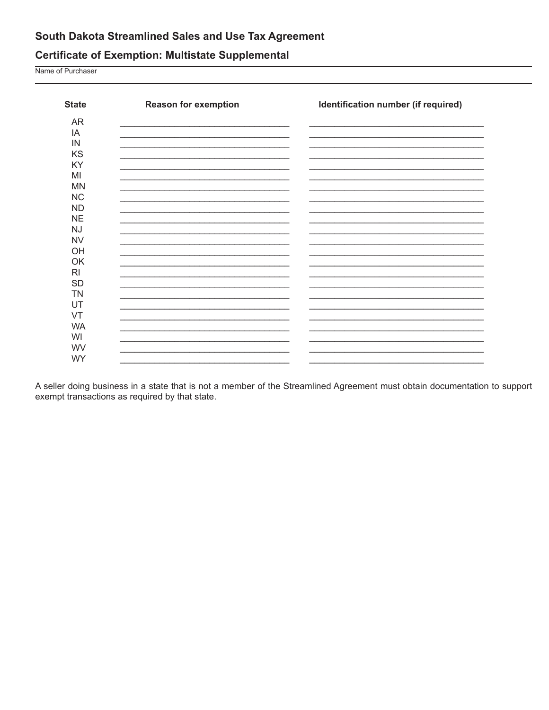## South Dakota Streamlined Sales and Use Tax Agreement

## **Certificate of Exemption: Multistate Supplemental**

Name of Purchaser

| <b>State</b>   | <b>Reason for exemption</b> | Identification number (if required) |
|----------------|-----------------------------|-------------------------------------|
| AR             |                             |                                     |
| IA             |                             |                                     |
| IN             |                             |                                     |
| KS             |                             |                                     |
| KY             |                             |                                     |
| MI             |                             |                                     |
| <b>MN</b>      |                             |                                     |
| <b>NC</b>      |                             |                                     |
| <b>ND</b>      |                             |                                     |
| <b>NE</b>      |                             |                                     |
| <b>NJ</b>      |                             |                                     |
| <b>NV</b>      |                             |                                     |
| OH             |                             |                                     |
| OK             |                             |                                     |
| R <sub>l</sub> |                             |                                     |
| <b>SD</b>      |                             |                                     |
| <b>TN</b>      |                             |                                     |
| UT             |                             |                                     |
| VT             |                             |                                     |
| <b>WA</b>      |                             |                                     |
| WI             |                             |                                     |
| WV             |                             |                                     |
| <b>WY</b>      |                             |                                     |

A seller doing business in a state that is not a member of the Streamlined Agreement must obtain documentation to support exempt transactions as required by that state.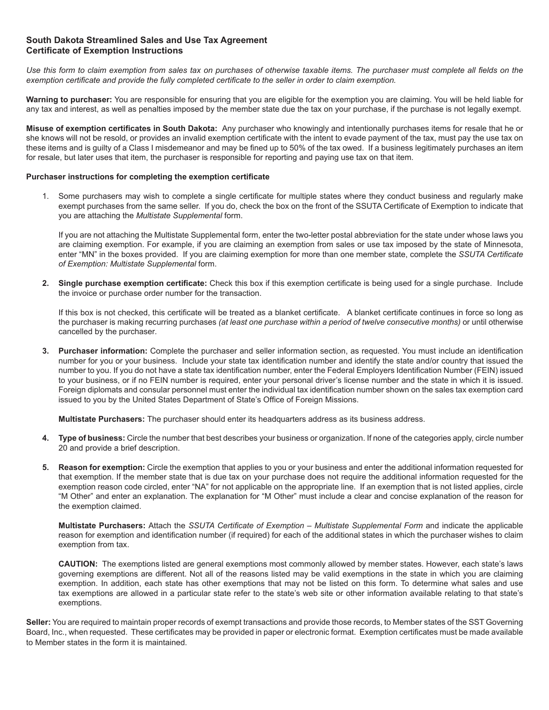### **South Dakota Streamlined Sales and Use Tax Agreement Certificate of Exemption Instructions**

*Use this form to claim exemption from sales tax on purchases of otherwise taxable items. The purchaser must complete all fields on the exemption certificate and provide the fully completed certificate to the seller in order to claim exemption.*

**Warning to purchaser:** You are responsible for ensuring that you are eligible for the exemption you are claiming. You will be held liable for any tax and interest, as well as penalties imposed by the member state due the tax on your purchase, if the purchase is not legally exempt.

**Misuse of exemption certificates in South Dakota:** Any purchaser who knowingly and intentionally purchases items for resale that he or she knows will not be resold, or provides an invalid exemption certificate with the intent to evade payment of the tax, must pay the use tax on these items and is guilty of a Class I misdemeanor and may be fined up to 50% of the tax owed. If a business legitimately purchases an item for resale, but later uses that item, the purchaser is responsible for reporting and paying use tax on that item.

#### **Purchaser instructions for completing the exemption certificate**

1. Some purchasers may wish to complete a single certificate for multiple states where they conduct business and regularly make exempt purchases from the same seller. If you do, check the box on the front of the SSUTA Certificate of Exemption to indicate that you are attaching the *Multistate Supplemental* form.

If you are not attaching the Multistate Supplemental form, enter the two-letter postal abbreviation for the state under whose laws you are claiming exemption. For example, if you are claiming an exemption from sales or use tax imposed by the state of Minnesota, enter "MN" in the boxes provided. If you are claiming exemption for more than one member state, complete the *SSUTA Certificate of Exemption: Multistate Supplemental* form.

**2. Single purchase exemption certificate:** Check this box if this exemption certificate is being used for a single purchase. Include the invoice or purchase order number for the transaction.

If this box is not checked, this certificate will be treated as a blanket certificate. A blanket certificate continues in force so long as the purchaser is making recurring purchases *(at least one purchase within a period of twelve consecutive months)* or until otherwise cancelled by the purchaser*.*

**3. Purchaser information:** Complete the purchaser and seller information section, as requested. You must include an identification number for you or your business. Include your state tax identification number and identify the state and/or country that issued the number to you. If you do not have a state tax identification number, enter the Federal Employers Identification Number (FEIN) issued to your business, or if no FEIN number is required, enter your personal driver's license number and the state in which it is issued. Foreign diplomats and consular personnel must enter the individual tax identification number shown on the sales tax exemption card issued to you by the United States Department of State's Office of Foreign Missions.

**Multistate Purchasers:** The purchaser should enter its headquarters address as its business address.

- **4. Type of business:** Circle the number that best describes your business or organization. If none of the categories apply, circle number 20 and provide a brief description.
- **5. Reason for exemption:** Circle the exemption that applies to you or your business and enter the additional information requested for that exemption. If the member state that is due tax on your purchase does not require the additional information requested for the exemption reason code circled, enter "NA" for not applicable on the appropriate line. If an exemption that is not listed applies, circle "M Other" and enter an explanation. The explanation for "M Other" must include a clear and concise explanation of the reason for the exemption claimed.

**Multistate Purchasers:** Attach the *SSUTA Certificate of Exemption – Multistate Supplemental Form* and indicate the applicable reason for exemption and identification number (if required) for each of the additional states in which the purchaser wishes to claim exemption from tax.

**CAUTION:** The exemptions listed are general exemptions most commonly allowed by member states. However, each state's laws governing exemptions are different. Not all of the reasons listed may be valid exemptions in the state in which you are claiming exemption. In addition, each state has other exemptions that may not be listed on this form. To determine what sales and use tax exemptions are allowed in a particular state refer to the state's web site or other information available relating to that state's exemptions.

**Seller:** You are required to maintain proper records of exempt transactions and provide those records, to Member states of the SST Governing Board, Inc., when requested. These certificates may be provided in paper or electronic format. Exemption certificates must be made available to Member states in the form it is maintained.